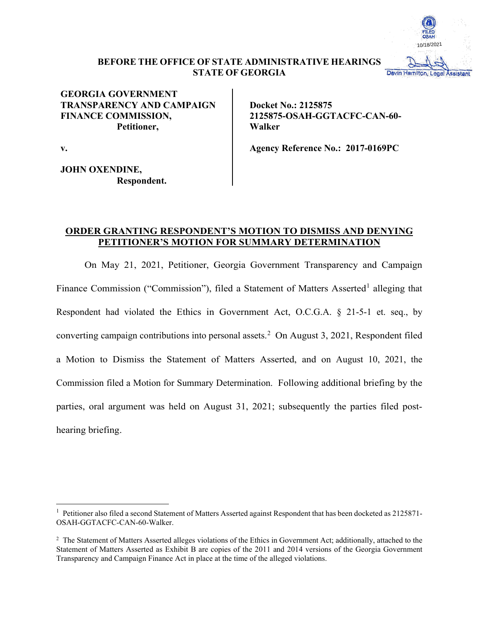

# **BEFORE THE OFFICE OF STATE ADMINISTRATIVE HEARINGS STATE OF GEORGIA**

# **GEORGIA GOVERNMENT TRANSPARENCY AND CAMPAIGN FINANCE COMMISSION, Petitioner,**

**Docket No.: 2125875 2125875-OSAH-GGTACFC-CAN-60- Walker**

**Agency Reference No.: 2017-0169PC**

**v.**

**JOHN OXENDINE, Respondent.**

# **ORDER GRANTING RESPONDENT'S MOTION TO DISMISS AND DENYING PETITIONER'S MOTION FOR SUMMARY DETERMINATION**

On May 21, 2021, Petitioner, Georgia Government Transparency and Campaign Finance Commission ("Commission"), filed a Statement of Matters Asserted<sup>[1](#page-0-0)</sup> alleging that Respondent had violated the Ethics in Government Act, O.C.G.A. § 21-5-1 et. seq., by converting campaign contributions into personal assets. [2](#page-0-1) On August 3, 2021, Respondent filed a Motion to Dismiss the Statement of Matters Asserted, and on August 10, 2021, the Commission filed a Motion for Summary Determination. Following additional briefing by the parties, oral argument was held on August 31, 2021; subsequently the parties filed posthearing briefing.

<span id="page-0-0"></span><sup>&</sup>lt;sup>1</sup> Petitioner also filed a second Statement of Matters Asserted against Respondent that has been docketed as 2125871-OSAH-GGTACFC-CAN-60-Walker.

<span id="page-0-1"></span><sup>&</sup>lt;sup>2</sup> The Statement of Matters Asserted alleges violations of the Ethics in Government Act; additionally, attached to the Statement of Matters Asserted as Exhibit B are copies of the 2011 and 2014 versions of the Georgia Government Transparency and Campaign Finance Act in place at the time of the alleged violations.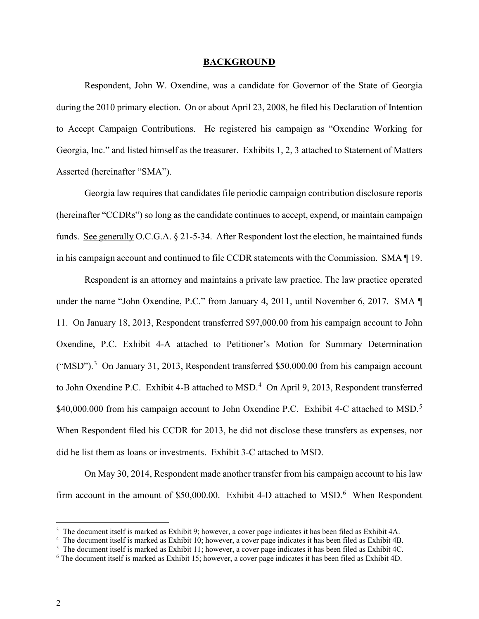#### **BACKGROUND**

Respondent, John W. Oxendine, was a candidate for Governor of the State of Georgia during the 2010 primary election. On or about April 23, 2008, he filed his Declaration of Intention to Accept Campaign Contributions. He registered his campaign as "Oxendine Working for Georgia, Inc." and listed himself as the treasurer. Exhibits 1, 2, 3 attached to Statement of Matters Asserted (hereinafter "SMA").

Georgia law requires that candidates file periodic campaign contribution disclosure reports (hereinafter "CCDRs") so long as the candidate continues to accept, expend, or maintain campaign funds. See generally O.C.G.A. § 21-5-34. After Respondent lost the election, he maintained funds in his campaign account and continued to file CCDR statements with the Commission. SMA ¶ 19.

Respondent is an attorney and maintains a private law practice. The law practice operated under the name "John Oxendine, P.C." from January 4, 2011, until November 6, 2017. SMA ¶ 11. On January 18, 2013, Respondent transferred \$97,000.00 from his campaign account to John Oxendine, P.C. Exhibit 4-A attached to Petitioner's Motion for Summary Determination  $("MSD")$ .<sup>[3](#page-1-0)</sup> On January 31, 2013, Respondent transferred \$50,000.00 from his campaign account to John Oxendine P.C. Exhibit [4](#page-1-1)-B attached to MSD.<sup>4</sup> On April 9, 2013, Respondent transferred \$40,000.000 from his campaign account to John Oxendine P.C. Exhibit 4-C attached to MSD.<sup>[5](#page-1-2)</sup> When Respondent filed his CCDR for 2013, he did not disclose these transfers as expenses, nor did he list them as loans or investments. Exhibit 3-C attached to MSD.

On May 30, 2014, Respondent made another transfer from his campaign account to his law firm account in the amount of \$50,000.00. Exhibit 4-D attached to MSD.<sup>[6](#page-1-3)</sup> When Respondent

<sup>&</sup>lt;sup>3</sup> The document itself is marked as Exhibit 9; however, a cover page indicates it has been filed as Exhibit 4A.

<span id="page-1-2"></span><span id="page-1-1"></span><span id="page-1-0"></span><sup>4</sup> The document itself is marked as Exhibit 10; however, a cover page indicates it has been filed as Exhibit 4B.

<sup>&</sup>lt;sup>5</sup> The document itself is marked as Exhibit 11; however, a cover page indicates it has been filed as Exhibit 4C.

<span id="page-1-3"></span><sup>6</sup> The document itself is marked as Exhibit 15; however, a cover page indicates it has been filed as Exhibit 4D.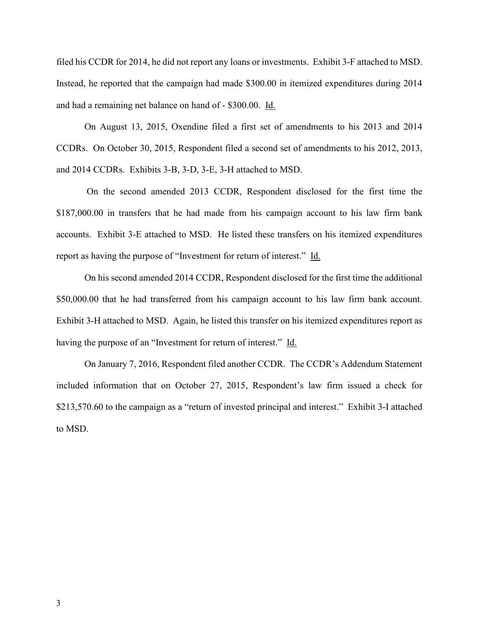filed his CCDR for 2014, he did not report any loans or investments. Exhibit 3-F attached to MSD. Instead, he reported that the campaign had made \$300.00 in itemized expenditures during 2014 and had a remaining net balance on hand of - \$300.00. Id.

On August 13, 2015, Oxendine filed a first set of amendments to his 2013 and 2014 CCDRs. On October 30, 2015, Respondent filed a second set of amendments to his 2012, 2013, and 2014 CCDRs. Exhibits 3-B, 3-D, 3-E, 3-H attached to MSD.

On the second amended 2013 CCDR, Respondent disclosed for the first time the \$187,000.00 in transfers that he had made from his campaign account to his law firm bank accounts. Exhibit 3-E attached to MSD. He listed these transfers on his itemized expenditures report as having the purpose of "Investment for return of interest." Id.

On his second amended 2014 CCDR, Respondent disclosed for the first time the additional \$50,000.00 that he had transferred from his campaign account to his law firm bank account. Exhibit 3-H attached to MSD. Again, he listed this transfer on his itemized expenditures report as having the purpose of an "Investment for return of interest." Id.

On January 7, 2016, Respondent filed another CCDR. The CCDR's Addendum Statement included information that on October 27, 2015, Respondent's law firm issued a check for \$213,570.60 to the campaign as a "return of invested principal and interest." Exhibit 3-I attached to MSD.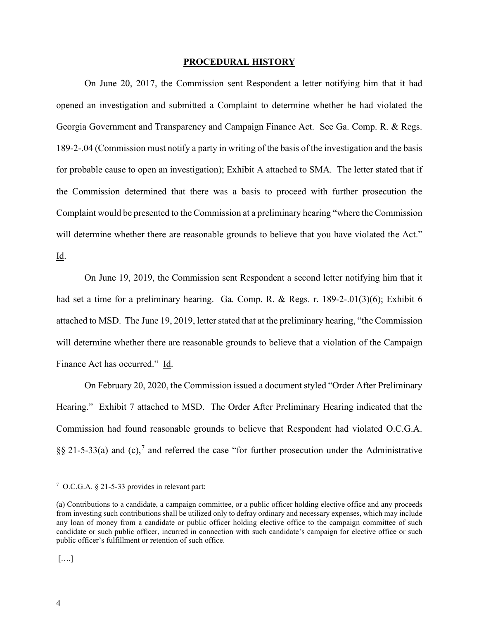#### **PROCEDURAL HISTORY**

On June 20, 2017, the Commission sent Respondent a letter notifying him that it had opened an investigation and submitted a Complaint to determine whether he had violated the Georgia Government and Transparency and Campaign Finance Act. See Ga. Comp. R. & Regs. 189-2-.04 (Commission must notify a party in writing of the basis of the investigation and the basis for probable cause to open an investigation); Exhibit A attached to SMA. The letter stated that if the Commission determined that there was a basis to proceed with further prosecution the Complaint would be presented to the Commission at a preliminary hearing "where the Commission will determine whether there are reasonable grounds to believe that you have violated the Act."

Id.

On June 19, 2019, the Commission sent Respondent a second letter notifying him that it had set a time for a preliminary hearing. Ga. Comp. R. & Regs. r. 189-2-.01(3)(6); Exhibit 6 attached to MSD. The June 19, 2019, letter stated that at the preliminary hearing, "the Commission will determine whether there are reasonable grounds to believe that a violation of the Campaign Finance Act has occurred." Id.

On February 20, 2020, the Commission issued a document styled "Order After Preliminary Hearing." Exhibit 7 attached to MSD. The Order After Preliminary Hearing indicated that the Commission had found reasonable grounds to believe that Respondent had violated O.C.G.A. §§ 21-5-33(a) and (c),<sup>[7](#page-3-0)</sup> and referred the case "for further prosecution under the Administrative

<span id="page-3-0"></span><sup>7</sup> O.C.G.A. § 21-5-33 provides in relevant part:

<sup>(</sup>a) Contributions to a candidate, a campaign committee, or a public officer holding elective office and any proceeds from investing such contributions shall be utilized only to defray ordinary and necessary expenses, which may include any loan of money from a candidate or public officer holding elective office to the campaign committee of such candidate or such public officer, incurred in connection with such candidate's campaign for elective office or such public officer's fulfillment or retention of such office.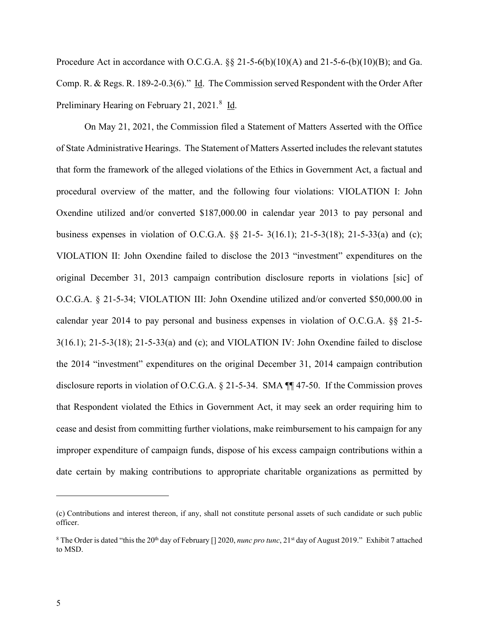Procedure Act in accordance with O.C.G.A.  $\S\S 21-5-6(b)(10)(A)$  and  $21-5-6-(b)(10)(B)$ ; and Ga. Comp. R. & Regs. R. 189-2-0.3(6)." Id. The Commission served Respondent with the Order After Preliminary Hearing on February 21, 2021.<sup>[8](#page-4-0)</sup> Id.

On May 21, 2021, the Commission filed a Statement of Matters Asserted with the Office of State Administrative Hearings. The Statement of Matters Asserted includes the relevant statutes that form the framework of the alleged violations of the Ethics in Government Act, a factual and procedural overview of the matter, and the following four violations: VIOLATION I: John Oxendine utilized and/or converted \$187,000.00 in calendar year 2013 to pay personal and business expenses in violation of O.C.G.A. §§ 21-5- 3(16.1); 21-5-3(18); 21-5-33(a) and (c); VIOLATION II: John Oxendine failed to disclose the 2013 "investment" expenditures on the original December 31, 2013 campaign contribution disclosure reports in violations [sic] of O.C.G.A. § 21-5-34; VIOLATION III: John Oxendine utilized and/or converted \$50,000.00 in calendar year 2014 to pay personal and business expenses in violation of O.C.G.A. §§ 21-5- 3(16.1); 21-5-3(18); 21-5-33(a) and (c); and VIOLATION IV: John Oxendine failed to disclose the 2014 "investment" expenditures on the original December 31, 2014 campaign contribution disclosure reports in violation of O.C.G.A. § 21-5-34. SMA ¶¶ 47-50. If the Commission proves that Respondent violated the Ethics in Government Act, it may seek an order requiring him to cease and desist from committing further violations, make reimbursement to his campaign for any improper expenditure of campaign funds, dispose of his excess campaign contributions within a date certain by making contributions to appropriate charitable organizations as permitted by

<sup>(</sup>c) Contributions and interest thereon, if any, shall not constitute personal assets of such candidate or such public officer.

<span id="page-4-0"></span><sup>&</sup>lt;sup>8</sup> The Order is dated "this the 20<sup>th</sup> day of February [] 2020, *nunc pro tunc*, 21<sup>st</sup> day of August 2019." Exhibit 7 attached to MSD.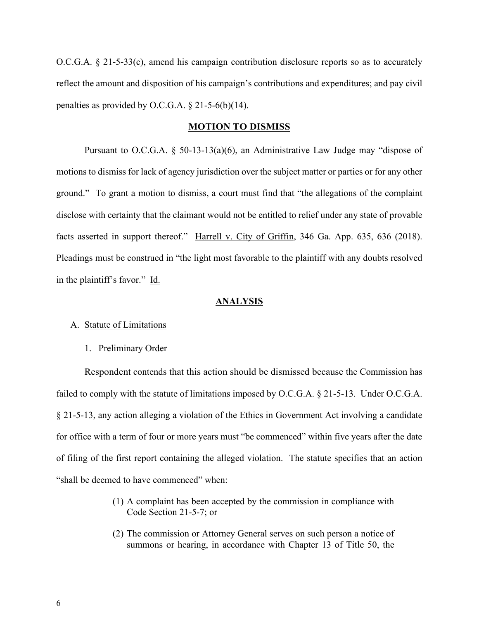O.C.G.A. § 21-5-33(c), amend his campaign contribution disclosure reports so as to accurately reflect the amount and disposition of his campaign's contributions and expenditures; and pay civil penalties as provided by O.C.G.A.  $\S$  21-5-6(b)(14).

### **MOTION TO DISMISS**

Pursuant to O.C.G.A. § 50-13-13(a)(6), an Administrative Law Judge may "dispose of motions to dismiss for lack of agency jurisdiction over the subject matter or parties or for any other ground." To grant a motion to dismiss, a court must find that "the allegations of the complaint disclose with certainty that the claimant would not be entitled to relief under any state of provable facts asserted in support thereof." Harrell v. City of Griffin, 346 Ga. App. 635, 636 (2018). Pleadings must be construed in "the light most favorable to the plaintiff with any doubts resolved in the plaintiff's favor." Id.

# **ANALYSIS**

### A. Statute of Limitations

1. Preliminary Order

Respondent contends that this action should be dismissed because the Commission has failed to comply with the statute of limitations imposed by O.C.G.A. § 21-5-13. Under O.C.G.A. § 21-5-13, any action alleging a violation of the Ethics in Government Act involving a candidate for office with a term of four or more years must "be commenced" within five years after the date of filing of the first report containing the alleged violation. The statute specifies that an action "shall be deemed to have commenced" when:

- (1) A complaint has been accepted by the commission in compliance with Code Section 21-5-7; or
- (2) The commission or Attorney General serves on such person a notice of summons or hearing, in accordance with Chapter 13 of Title 50, the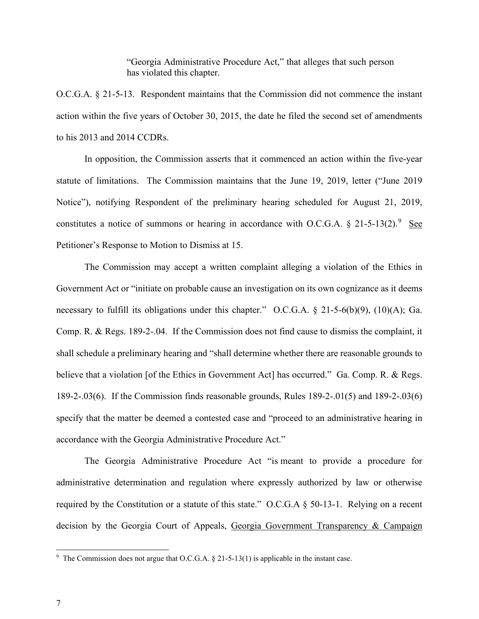"Georgia Administrative Procedure Act," that alleges that such person has violated this chapter.

O.C.G.A. § 21-5-13. Respondent maintains that the Commission did not commence the instant action within the five years of October 30, 2015, the date he filed the second set of amendments to his 2013 and 2014 CCDRs.

In opposition, the Commission asserts that it commenced an action within the five-year statute of limitations. The Commission maintains that the June 19, 2019, letter ("June 2019 Notice"), notifying Respondent of the preliminary hearing scheduled for August 21, 2019, constitutes a notice of summons or hearing in accordance with O.C.G.A.  $\S 21-5-13(2)$ .<sup>[9](#page-6-0)</sup> See Petitioner's Response to Motion to Dismiss at 15.

The Commission may accept a written complaint alleging a violation of the Ethics in Government Act or "initiate on probable cause an investigation on its own cognizance as it deems necessary to fulfill its obligations under this chapter." O.C.G.A. § 21-5-6(b)(9), (10)(A); Ga. Comp. R. & Regs. 189-2-.04. If the Commission does not find cause to dismiss the complaint, it shall schedule a preliminary hearing and "shall determine whether there are reasonable grounds to believe that a violation [of the Ethics in Government Act] has occurred." Ga. Comp. R. & Regs. 189-2-.03(6). If the Commission finds reasonable grounds, Rules 189-2-.01(5) and 189-2-.03(6) specify that the matter be deemed a contested case and "proceed to an administrative hearing in accordance with the Georgia Administrative Procedure Act."

The Georgia Administrative Procedure Act "is meant to provide a procedure for administrative determination and regulation where expressly authorized by law or otherwise required by the Constitution or a statute of this state." O.C.G.A § 50-13-1. Relying on a recent decision by the Georgia Court of Appeals, Georgia Government Transparency & Campaign

<span id="page-6-0"></span><sup>&</sup>lt;sup>9</sup> The Commission does not argue that O.C.G.A.  $\S$  21-5-13(1) is applicable in the instant case.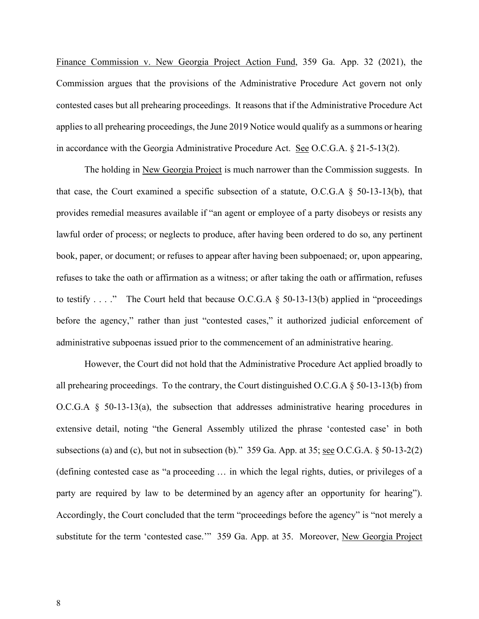Finance Commission v. New Georgia Project Action Fund, 359 Ga. App. 32 (2021), the Commission argues that the provisions of the Administrative Procedure Act govern not only contested cases but all prehearing proceedings. It reasons that if the Administrative Procedure Act applies to all prehearing proceedings, the June 2019 Notice would qualify as a summons or hearing in accordance with the Georgia Administrative Procedure Act. See O.C.G.A. § 21-5-13(2).

The holding in New Georgia Project is much narrower than the Commission suggests. In that case, the Court examined a specific subsection of a statute, O.C.G.A  $\S$  50-13-13(b), that provides remedial measures available if "an agent or employee of a party disobeys or resists any lawful order of process; or neglects to produce, after having been ordered to do so, any pertinent book, paper, or document; or refuses to appear after having been subpoenaed; or, upon appearing, refuses to take the oath or affirmation as a witness; or after taking the oath or affirmation, refuses to testify . . . ." The Court held that because O.C.G.A  $\S$  50-13-13(b) applied in "proceedings before the agency," rather than just "contested cases," it authorized judicial enforcement of administrative subpoenas issued prior to the commencement of an administrative hearing.

However, the Court did not hold that the Administrative Procedure Act applied broadly to all prehearing proceedings. To the contrary, the Court distinguished O.C.G.A  $\S$  50-13-13(b) from O.C.G.A  $\S$  50-13-13(a), the subsection that addresses administrative hearing procedures in extensive detail, noting "the General Assembly utilized the phrase 'contested case' in both subsections (a) and (c), but not in subsection (b)." 359 Ga. App. at 35; <u>see</u> O.C.G.A.  $\S$  50-13-2(2) (defining contested case as "a proceeding … in which the legal rights, duties, or privileges of a party are required by law to be determined by an agency after an opportunity for hearing"). Accordingly, the Court concluded that the term "proceedings before the agency" is "not merely a substitute for the term 'contested case.'" 359 Ga. App. at 35. Moreover, New Georgia Project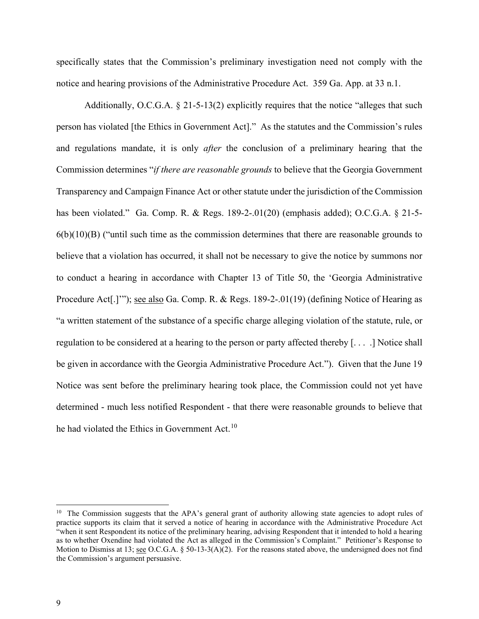specifically states that the Commission's preliminary investigation need not comply with the notice and hearing provisions of the Administrative Procedure Act. 359 Ga. App. at 33 n.1.

Additionally, O.C.G.A. § 21-5-13(2) explicitly requires that the notice "alleges that such person has violated [the Ethics in Government Act]." As the statutes and the Commission's rules and regulations mandate, it is only *after* the conclusion of a preliminary hearing that the Commission determines "*if there are reasonable grounds* to believe that the Georgia Government Transparency and Campaign Finance Act or other statute under the jurisdiction of the Commission has been violated." Ga. Comp. R. & Regs. 189-2-.01(20) (emphasis added); O.C.G.A. § 21-5-  $6(b)(10)(B)$  ("until such time as the commission determines that there are reasonable grounds to believe that a violation has occurred, it shall not be necessary to give the notice by summons nor to conduct a hearing in accordance with Chapter 13 of Title 50, the 'Georgia Administrative Procedure Act[.]'"); see also Ga. Comp. R. & Regs. 189-2-.01(19) (defining Notice of Hearing as "a written statement of the substance of a specific charge alleging violation of the statute, rule, or regulation to be considered at a hearing to the person or party affected thereby [. . . .] Notice shall be given in accordance with the Georgia Administrative Procedure Act."). Given that the June 19 Notice was sent before the preliminary hearing took place, the Commission could not yet have determined - much less notified Respondent - that there were reasonable grounds to believe that he had violated the Ethics in Government Act.<sup>[10](#page-8-0)</sup>

<span id="page-8-0"></span><sup>&</sup>lt;sup>10</sup> The Commission suggests that the APA's general grant of authority allowing state agencies to adopt rules of practice supports its claim that it served a notice of hearing in accordance with the Administrative Procedure Act "when it sent Respondent its notice of the preliminary hearing, advising Respondent that it intended to hold a hearing as to whether Oxendine had violated the Act as alleged in the Commission's Complaint." Petitioner's Response to Motion to Dismiss at 13; <u>see</u> O.C.G.A. § 50-13-3(A)(2). For the reasons stated above, the undersigned does not find the Commission's argument persuasive.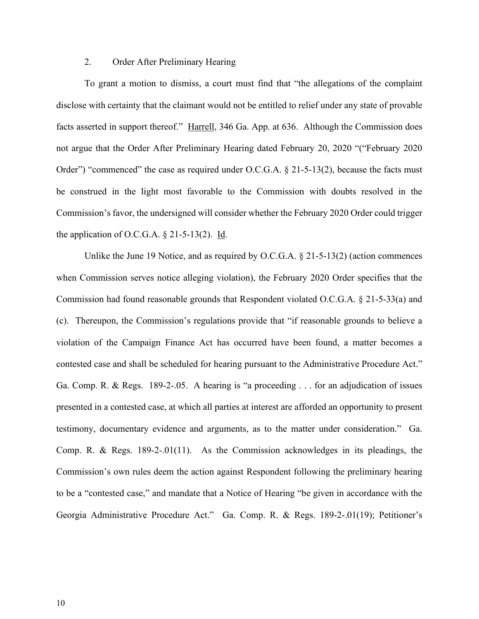## 2. Order After Preliminary Hearing

To grant a motion to dismiss, a court must find that "the allegations of the complaint disclose with certainty that the claimant would not be entitled to relief under any state of provable facts asserted in support thereof." Harrell, 346 Ga. App. at 636. Although the Commission does not argue that the Order After Preliminary Hearing dated February 20, 2020 "("February 2020 Order") "commenced" the case as required under O.C.G.A.  $\S$  21-5-13(2), because the facts must be construed in the light most favorable to the Commission with doubts resolved in the Commission's favor, the undersigned will consider whether the February 2020 Order could trigger the application of O.C.G.A.  $\S$  21-5-13(2). Id.

Unlike the June 19 Notice, and as required by O.C.G.A. § 21-5-13(2) (action commences when Commission serves notice alleging violation), the February 2020 Order specifies that the Commission had found reasonable grounds that Respondent violated O.C.G.A. § 21-5-33(a) and (c). Thereupon, the Commission's regulations provide that "if reasonable grounds to believe a violation of the Campaign Finance Act has occurred have been found, a matter becomes a contested case and shall be scheduled for hearing pursuant to the Administrative Procedure Act." Ga. Comp. R. & Regs. 189-2-.05. A hearing is "a proceeding . . . for an adjudication of issues presented in a contested case, at which all parties at interest are afforded an opportunity to present testimony, documentary evidence and arguments, as to the matter under consideration." Ga. Comp. R. & Regs. 189-2-.01(11). As the Commission acknowledges in its pleadings, the Commission's own rules deem the action against Respondent following the preliminary hearing to be a "contested case," and mandate that a Notice of Hearing "be given in accordance with the Georgia Administrative Procedure Act." Ga. Comp. R. & Regs. 189-2-.01(19); Petitioner's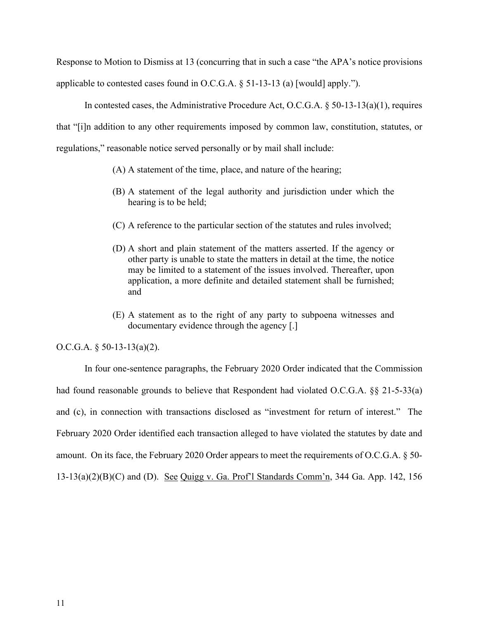Response to Motion to Dismiss at 13 (concurring that in such a case "the APA's notice provisions applicable to contested cases found in O.C.G.A.  $\S$  51-13-13 (a) [would] apply.").

In contested cases, the Administrative Procedure Act, O.C.G.A. § 50-13-13(a)(1), requires that "[i]n addition to any other requirements imposed by common law, constitution, statutes, or regulations," reasonable notice served personally or by mail shall include:

- (A) A statement of the time, place, and nature of the hearing;
- (B) A statement of the legal authority and jurisdiction under which the hearing is to be held;
- (C) A reference to the particular section of the statutes and rules involved;
- (D) A short and plain statement of the matters asserted. If the agency or other party is unable to state the matters in detail at the time, the notice may be limited to a statement of the issues involved. Thereafter, upon application, a more definite and detailed statement shall be furnished; and
- (E) A statement as to the right of any party to subpoena witnesses and documentary evidence through the agency [.]

O.C.G.A.  $\S$  50-13-13(a)(2).

In four one-sentence paragraphs, the February 2020 Order indicated that the Commission had found reasonable grounds to believe that Respondent had violated O.C.G.A. §§ 21-5-33(a) and (c), in connection with transactions disclosed as "investment for return of interest." The February 2020 Order identified each transaction alleged to have violated the statutes by date and amount. On its face, the February 2020 Order appears to meet the requirements of O.C.G.A. § 50- 13-13(a)(2)(B)(C) and (D). See Quigg v. Ga. Prof'l Standards Comm'n, 344 Ga. App. 142, 156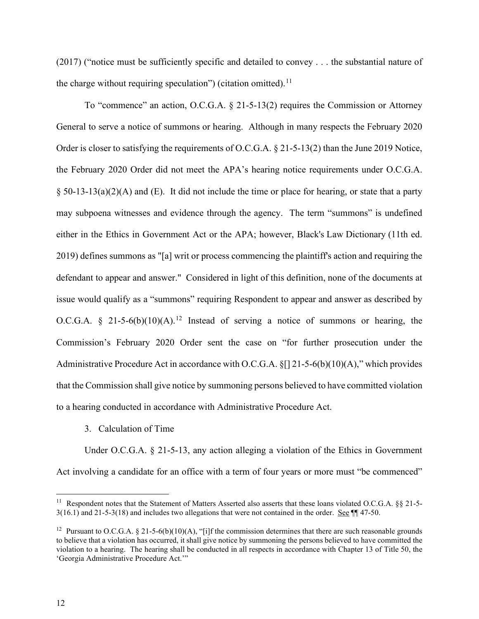(2017) ("notice must be sufficiently specific and detailed to convey . . . the substantial nature of the charge without requiring speculation") (citation omitted).<sup>[11](#page-11-0)</sup>

To "commence" an action, O.C.G.A. § 21-5-13(2) requires the Commission or Attorney General to serve a notice of summons or hearing. Although in many respects the February 2020 Order is closer to satisfying the requirements of O.C.G.A. § 21-5-13(2) than the June 2019 Notice, the February 2020 Order did not meet the APA's hearing notice requirements under O.C.G.A.  $\S$  50-13-13(a)(2)(A) and (E). It did not include the time or place for hearing, or state that a party may subpoena witnesses and evidence through the agency. The term "summons" is undefined either in the Ethics in Government Act or the APA; however, Black's Law Dictionary (11th ed. 2019) defines summons as "[a] writ or process commencing the plaintiff's action and requiring the defendant to appear and answer." Considered in light of this definition, none of the documents at issue would qualify as a "summons" requiring Respondent to appear and answer as described by O.C.G.A. § 21-5-6(b)(10)(A).<sup>[12](#page-11-1)</sup> Instead of serving a notice of summons or hearing, the Commission's February 2020 Order sent the case on "for further prosecution under the Administrative Procedure Act in accordance with O.C.G.A. §[] 21-5-6(b)(10)(A)," which provides that the Commission shall give notice by summoning persons believed to have committed violation to a hearing conducted in accordance with Administrative Procedure Act.

3. Calculation of Time

Under O.C.G.A. § 21-5-13, any action alleging a violation of the Ethics in Government Act involving a candidate for an office with a term of four years or more must "be commenced"

<span id="page-11-0"></span><sup>&</sup>lt;sup>11</sup> Respondent notes that the Statement of Matters Asserted also asserts that these loans violated O.C.G.A. §§ 21-5-3(16.1) and 21-5-3(18) and includes two allegations that were not contained in the order. See ¶¶ 47-50.

<span id="page-11-1"></span><sup>&</sup>lt;sup>12</sup> Pursuant to O.C.G.A. § 21-5-6(b)(10)(A), "[i]f the commission determines that there are such reasonable grounds to believe that a violation has occurred, it shall give notice by summoning the persons believed to have committed the violation to a hearing. The hearing shall be conducted in all respects in accordance with Chapter 13 of Title 50, the 'Georgia Administrative Procedure Act.'"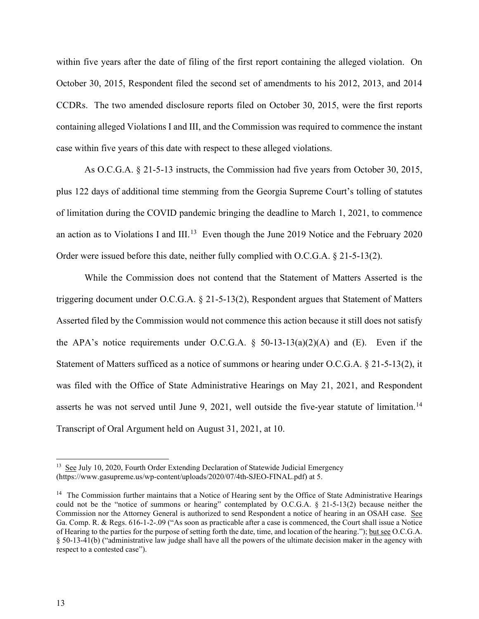within five years after the date of filing of the first report containing the alleged violation. On October 30, 2015, Respondent filed the second set of amendments to his 2012, 2013, and 2014 CCDRs. The two amended disclosure reports filed on October 30, 2015, were the first reports containing alleged Violations I and III, and the Commission was required to commence the instant case within five years of this date with respect to these alleged violations.

As O.C.G.A. § 21-5-13 instructs, the Commission had five years from October 30, 2015, plus 122 days of additional time stemming from the Georgia Supreme Court's tolling of statutes of limitation during the COVID pandemic bringing the deadline to March 1, 2021, to commence an action as to Violations I and III.<sup>13</sup> Even though the June 2019 Notice and the February 2020 Order were issued before this date, neither fully complied with O.C.G.A. § 21-5-13(2).

While the Commission does not contend that the Statement of Matters Asserted is the triggering document under O.C.G.A. § 21-5-13(2), Respondent argues that Statement of Matters Asserted filed by the Commission would not commence this action because it still does not satisfy the APA's notice requirements under O.C.G.A.  $\S$  50-13-13(a)(2)(A) and (E). Even if the Statement of Matters sufficed as a notice of summons or hearing under O.C.G.A. § 21-5-13(2), it was filed with the Office of State Administrative Hearings on May 21, 2021, and Respondent asserts he was not served until June 9, 2021, well outside the five-year statute of limitation.<sup>[14](#page-12-1)</sup> Transcript of Oral Argument held on August 31, 2021, at 10.

<span id="page-12-0"></span><sup>&</sup>lt;sup>13</sup> See July 10, 2020, Fourth Order Extending Declaration of Statewide Judicial Emergency (https://www.gasupreme.us/wp-content/uploads/2020/07/4th-SJEO-FINAL.pdf) at 5.

<span id="page-12-1"></span> $<sup>14</sup>$  The Commission further maintains that a Notice of Hearing sent by the Office of State Administrative Hearings</sup> could not be the "notice of summons or hearing" contemplated by O.C.G.A. § 21-5-13(2) because neither the Commission nor the Attorney General is authorized to send Respondent a notice of hearing in an OSAH case. See Ga. Comp. R. & Regs. 616-1-2-.09 ("As soon as practicable after a case is commenced, the Court shall issue a Notice of Hearing to the parties for the purpose of setting forth the date, time, and location of the hearing."); but see O.C.G.A. § 50-13-41(b) ("administrative law judge shall have all the powers of the ultimate decision maker in the agency with respect to a contested case").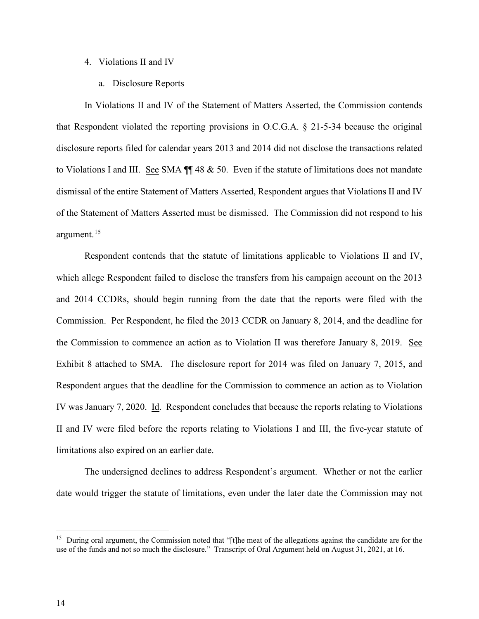### 4. Violations II and IV

a. Disclosure Reports

In Violations II and IV of the Statement of Matters Asserted, the Commission contends that Respondent violated the reporting provisions in O.C.G.A. § 21-5-34 because the original disclosure reports filed for calendar years 2013 and 2014 did not disclose the transactions related to Violations I and III. See SMA  $\P$  48 & 50. Even if the statute of limitations does not mandate dismissal of the entire Statement of Matters Asserted, Respondent argues that Violations II and IV of the Statement of Matters Asserted must be dismissed. The Commission did not respond to his argument. [15](#page-13-0)

Respondent contends that the statute of limitations applicable to Violations II and IV, which allege Respondent failed to disclose the transfers from his campaign account on the 2013 and 2014 CCDRs, should begin running from the date that the reports were filed with the Commission. Per Respondent, he filed the 2013 CCDR on January 8, 2014, and the deadline for the Commission to commence an action as to Violation II was therefore January 8, 2019. See Exhibit 8 attached to SMA. The disclosure report for 2014 was filed on January 7, 2015, and Respondent argues that the deadline for the Commission to commence an action as to Violation IV was January 7, 2020. Id. Respondent concludes that because the reports relating to Violations II and IV were filed before the reports relating to Violations I and III, the five-year statute of limitations also expired on an earlier date.

The undersigned declines to address Respondent's argument. Whether or not the earlier date would trigger the statute of limitations, even under the later date the Commission may not

<span id="page-13-0"></span><sup>&</sup>lt;sup>15</sup> During oral argument, the Commission noted that "[t]he meat of the allegations against the candidate are for the use of the funds and not so much the disclosure." Transcript of Oral Argument held on August 31, 2021, at 16.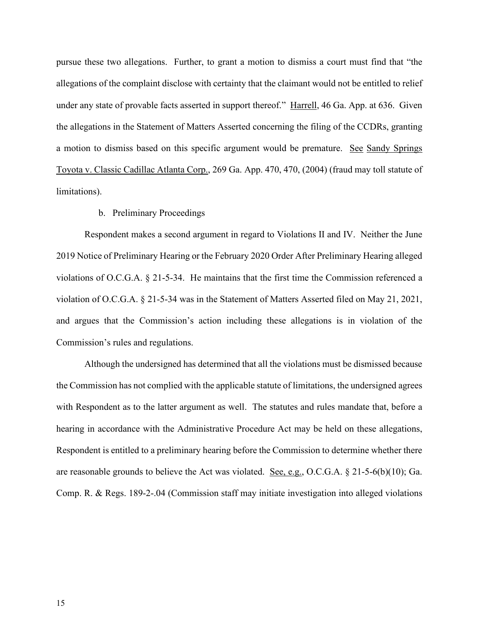pursue these two allegations. Further, to grant a motion to dismiss a court must find that "the allegations of the complaint disclose with certainty that the claimant would not be entitled to relief under any state of provable facts asserted in support thereof." Harrell, 46 Ga. App. at 636. Given the allegations in the Statement of Matters Asserted concerning the filing of the CCDRs, granting a motion to dismiss based on this specific argument would be premature. See Sandy Springs Toyota v. Classic Cadillac Atlanta Corp., 269 Ga. App. 470, 470, (2004) (fraud may toll statute of limitations).

## b. Preliminary Proceedings

Respondent makes a second argument in regard to Violations II and IV. Neither the June 2019 Notice of Preliminary Hearing or the February 2020 Order After Preliminary Hearing alleged violations of O.C.G.A. § 21-5-34. He maintains that the first time the Commission referenced a violation of O.C.G.A. § 21-5-34 was in the Statement of Matters Asserted filed on May 21, 2021, and argues that the Commission's action including these allegations is in violation of the Commission's rules and regulations.

Although the undersigned has determined that all the violations must be dismissed because the Commission has not complied with the applicable statute of limitations, the undersigned agrees with Respondent as to the latter argument as well. The statutes and rules mandate that, before a hearing in accordance with the Administrative Procedure Act may be held on these allegations, Respondent is entitled to a preliminary hearing before the Commission to determine whether there are reasonable grounds to believe the Act was violated. See, e.g., O.C.G.A. § 21-5-6(b)(10); Ga. Comp. R. & Regs. 189-2-.04 (Commission staff may initiate investigation into alleged violations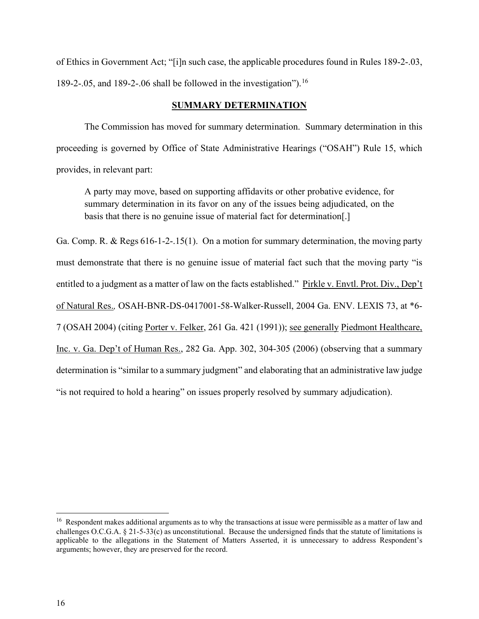of Ethics in Government Act; "[i]n such case, the applicable procedures found in Rules 189-2-.03, 189-2-.05, and 189-2-.06 shall be followed in the investigation"). [16](#page-15-0)

# **SUMMARY DETERMINATION**

The Commission has moved for summary determination. Summary determination in this proceeding is governed by Office of State Administrative Hearings ("OSAH") Rule 15, which provides, in relevant part:

A party may move, based on supporting affidavits or other probative evidence, for summary determination in its favor on any of the issues being adjudicated, on the basis that there is no genuine issue of material fact for determination[.]

Ga. Comp. R. & Regs 616-1-2-.15(1). On a motion for summary determination, the moving party must demonstrate that there is no genuine issue of material fact such that the moving party "is entitled to a judgment as a matter of law on the facts established." Pirkle v. Envtl. Prot. Div., Dep't of Natural Res.*,* OSAH-BNR-DS-0417001-58-Walker-Russell, 2004 Ga. ENV. LEXIS 73, at \*6- 7 (OSAH 2004) (citing Porter v. Felker, 261 Ga. 421 (1991)); see generally Piedmont Healthcare, Inc. v. Ga. Dep't of Human Res., 282 Ga. App. 302, 304-305 (2006) (observing that a summary determination is "similar to a summary judgment" and elaborating that an administrative law judge "is not required to hold a hearing" on issues properly resolved by summary adjudication).

<span id="page-15-0"></span><sup>&</sup>lt;sup>16</sup> Respondent makes additional arguments as to why the transactions at issue were permissible as a matter of law and challenges O.C.G.A.  $\S$  21-5-33(c) as unconstitutional. Because the undersigned finds that the statute of limitations is applicable to the allegations in the Statement of Matters Asserted, it is unnecessary to address Respondent's arguments; however, they are preserved for the record.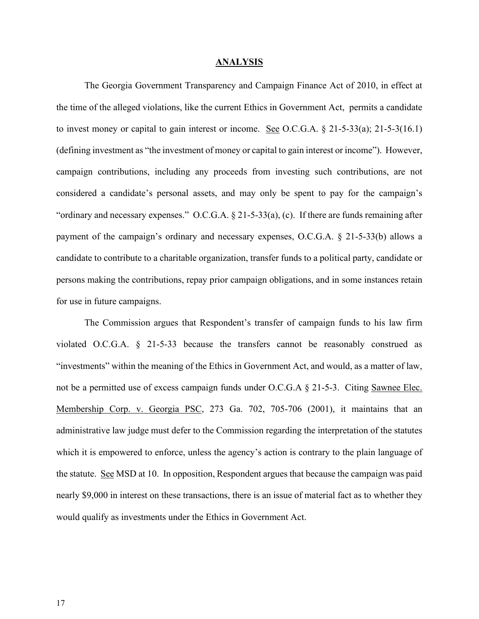#### **ANALYSIS**

The Georgia Government Transparency and Campaign Finance Act of 2010, in effect at the time of the alleged violations, like the current Ethics in Government Act, permits a candidate to invest money or capital to gain interest or income. See O.C.G.A.  $\S$  21-5-33(a); 21-5-3(16.1) (defining investment as "the investment of money or capital to gain interest or income"). However, campaign contributions, including any proceeds from investing such contributions, are not considered a candidate's personal assets, and may only be spent to pay for the campaign's "ordinary and necessary expenses." O.C.G.A. § 21-5-33(a), (c). If there are funds remaining after payment of the campaign's ordinary and necessary expenses, O.C.G.A. § 21-5-33(b) allows a candidate to contribute to a charitable organization, transfer funds to a political party, candidate or persons making the contributions, repay prior campaign obligations, and in some instances retain for use in future campaigns.

The Commission argues that Respondent's transfer of campaign funds to his law firm violated O.C.G.A. § 21-5-33 because the transfers cannot be reasonably construed as "investments" within the meaning of the Ethics in Government Act, and would, as a matter of law, not be a permitted use of excess campaign funds under O.C.G.A  $\S$  21-5-3. Citing Sawnee Elec. Membership Corp. v. Georgia PSC, 273 Ga. 702, 705-706 (2001), it maintains that an administrative law judge must defer to the Commission regarding the interpretation of the statutes which it is empowered to enforce, unless the agency's action is contrary to the plain language of the statute. See MSD at 10. In opposition, Respondent argues that because the campaign was paid nearly \$9,000 in interest on these transactions, there is an issue of material fact as to whether they would qualify as investments under the Ethics in Government Act.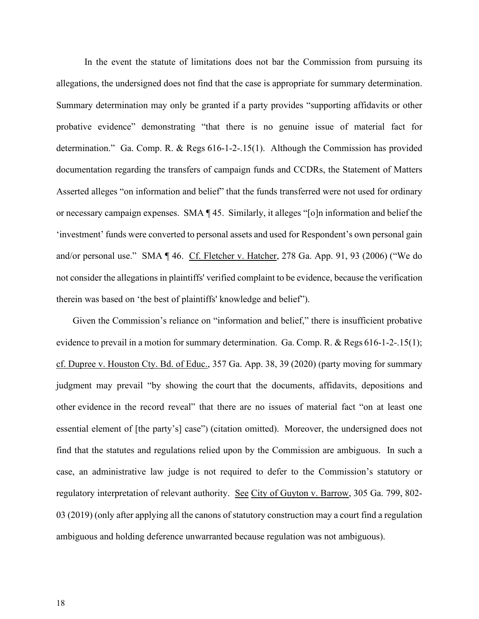In the event the statute of limitations does not bar the Commission from pursuing its allegations, the undersigned does not find that the case is appropriate for summary determination. Summary determination may only be granted if a party provides "supporting affidavits or other probative evidence" demonstrating "that there is no genuine issue of material fact for determination." Ga. Comp. R. & Regs 616-1-2-.15(1). Although the Commission has provided documentation regarding the transfers of campaign funds and CCDRs, the Statement of Matters Asserted alleges "on information and belief" that the funds transferred were not used for ordinary or necessary campaign expenses. SMA ¶ 45. Similarly, it alleges "[o]n information and belief the 'investment' funds were converted to personal assets and used for Respondent's own personal gain and/or personal use." SMA ¶ 46. Cf. Fletcher v. Hatcher, 278 Ga. App. 91, 93 (2006) ("We do not consider the allegations in plaintiffs' verified complaint to be evidence, because the verification therein was based on 'the best of plaintiffs' knowledge and belief").

Given the Commission's reliance on "information and belief," there is insufficient probative evidence to prevail in a motion for summary determination. Ga. Comp. R. & Regs 616-1-2-.15(1); cf. Dupree v. Houston Cty. Bd. of Educ., 357 Ga. App. 38, 39 (2020) (party moving for summary judgment may prevail "by showing the court that the documents, affidavits, depositions and other evidence in the record reveal" that there are no issues of material fact "on at least one essential element of [the party's] case") (citation omitted). Moreover, the undersigned does not find that the statutes and regulations relied upon by the Commission are ambiguous. In such a case, an administrative law judge is not required to defer to the Commission's statutory or regulatory interpretation of relevant authority. See City of Guyton v. Barrow, 305 Ga. 799, 802-03 (2019) (only after applying all the canons of statutory construction may a court find a regulation ambiguous and holding deference unwarranted because regulation was not ambiguous).